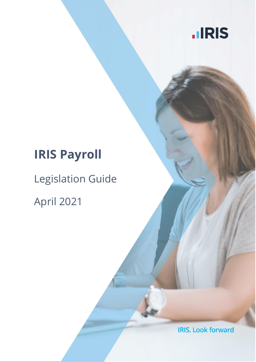

# **IRIS Payroll**

# Legislation Guide

April 2021

**IRIS. Look forward**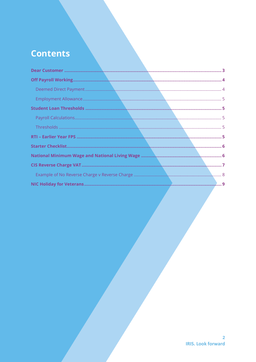# **Contents**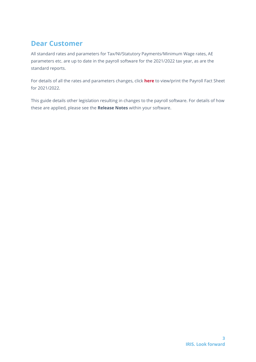# <span id="page-2-0"></span>**Dear Customer**

All standard rates and parameters for Tax/NI/Statutory Payments/Minimum Wage rates, AE parameters etc. are up to date in the payroll software for the 2021/2022 tax year, as are the standard reports.

For details of all the rates and parameters changes, click **[here](http://www.iris.co.uk/rates)** to view/print the Payroll Fact Sheet for 2021/2022.

This guide details other legislation resulting in changes to the payroll software. For details of how these are applied, please see the **Release Notes** within your software.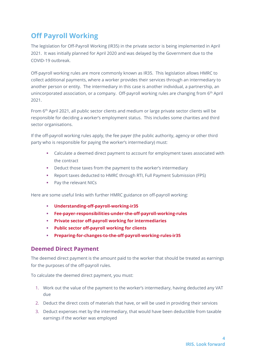# <span id="page-3-0"></span>**Off Payroll Working**

The legislation for Off-Payroll Working (IR35) in the private sector is being implemented in April 2021. It was initially planned for April 2020 and was delayed by the Government due to the COVID-19 outbreak.

Off-payroll working rules are more commonly known as IR35. This legislation allows HMRC to collect additional payments, where a worker provides their services through an intermediary to another person or entity. The intermediary in this case is another individual, a partnership, an unincorporated association, or a company. Off-payroll working rules are changing from 6<sup>th</sup> April 2021.

From 6th April 2021, all public sector clients and medium or large private sector clients will be responsible for deciding a worker's employment status. This includes some charities and third sector organisations.

If the off-payroll working rules apply, the fee payer (the public authority, agency or other third party who is responsible for paying the worker's intermediary) must:

- Calculate a deemed direct payment to account for employment taxes associated with the contract
- Deduct those taxes from the payment to the worker's intermediary
- Report taxes deducted to HMRC through RTI, Full Payment Submission (FPS)
- Pay the relevant NICs

Here are some useful links with further HMRC guidance on off-payroll working:

- **[Understanding-off-payroll-working-ir35](https://www.gov.uk/guidance/understanding-off-payroll-working-ir35)**
- **[Fee-payer-responsibilities-under-the-off-payroll-working-rules](https://www.gov.uk/guidance/fee-payer-responsibilities-under-the-off-payroll-working-rules)**
- **[Private sector off-payroll working for intermediaries](https://www.gov.uk/guidance/ir35-what-to-do-if-it-applies)**
- **[Public sector off-payroll working for clients](https://www.gov.uk/guidance/off-payroll-working-in-the-public-sector-reform-of-intermediaries-legislation)**
- **[Preparing-for-changes-to-the-off-payroll-working-rules-ir35](https://www.gov.uk/guidance/prepare-for-changes-to-the-off-payroll-working-rules-ir35)**

#### <span id="page-3-1"></span>**Deemed Direct Payment**

The deemed direct payment is the amount paid to the worker that should be treated as earnings for the purposes of the off-payroll rules.

To calculate the deemed direct payment, you must:

- 1. Work out the value of the payment to the worker's intermediary, having deducted any VAT due
- 2. Deduct the direct costs of materials that have, or will be used in providing their services
- 3. Deduct expenses met by the intermediary, that would have been deductible from taxable earnings if the worker was employed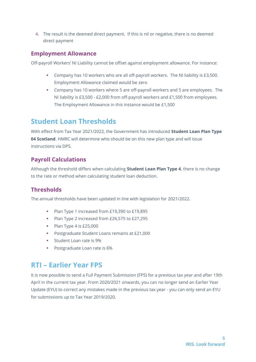4. The result is the deemed direct payment. If this is nil or negative, there is no deemed direct payment

#### <span id="page-4-0"></span>**Employment Allowance**

Off-payroll Workers' NI Liability cannot be offset against employment allowance. For instance:

- Company has 10 workers who are all off-payroll workers. The NI liability is £3,500. Employment Allowance claimed would be zero
- Company has 10 workers where 5 are off-payroll workers and 5 are employees. The NI liability is £3,500 - £2,000 from off-payroll workers and £1,500 from employees. The Employment Allowance in this instance would be £1,500

## <span id="page-4-1"></span>**Student Loan Thresholds**

With effect from Tax Year 2021/2022, the Government has introduced **Student Loan Plan Type 04 Scotland**. HMRC will determine who should be on this new plan type and will issue instructions via DPS.

#### <span id="page-4-2"></span>**Payroll Calculations**

Although the threshold differs when calculating **Student Loan Plan Type 4**, there is no change to the rate or method when calculating student loan deduction.

#### <span id="page-4-3"></span>**Thresholds**

The annual thresholds have been updated in line with legislation for 2021/2022.

- Plan Type 1 increased from £19,390 to £19,895
- Plan Type 2 increased from £26,575 to £27,295
- Plan Type 4 is £25,000
- Postgraduate Student Loans remains at £21,000
- Student Loan rate is 9%
- Postgraduate Loan rate is 6%

## <span id="page-4-4"></span>**RTI – Earlier Year FPS**

It is now possible to send a Full Payment Submission (FPS) for a previous tax year and after 19th April in the current tax year. From 2020/2021 onwards, you can no longer send an Earlier Year Update (EYU) to correct any mistakes made in the previous tax year - you can only send an EYU for submissions up to Tax Year 2019/2020.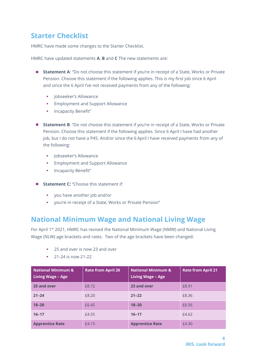## <span id="page-5-0"></span>**Starter Checklist**

HMRC have made some changes to the Starter Checklist.

HMRC have updated statements **A**, **B** and **C** The new statements are:

- **Statement A**: "Do not choose this statement if you're in receipt of a State, Works or Private Pension. Choose this statement if the following applies. This is my first job since 6 April and since the 6 April I've not received payments from any of the following:
	- Iobseeker's Allowance
	- **Employment and Support Allowance**
	- **·** Incapacity Benefit"
- **Statement B**: "Do not choose this statement if you're in receipt of a State, Works or Private Pension. Choose this statement if the following applies. Since 6 April I have had another job, but I do not have a P45. And/or since the 6 April I have received payments from any of the following:
	- **·** Jobseeker's Allowance
	- Employment and Support Allowance
	- **·** Incapacity Benefit"
- **Statement C:** "Choose this statement if:
	- you have another job and/or
	- you're in receipt of a State, Works or Private Pension"

## <span id="page-5-1"></span>**National Minimum Wage and National Living Wage**

For April 1<sup>st</sup> 2021, HMRC has revised the National Minimum Wage (NMW) and National Living Wage (NLW) age brackets and rates. Two of the age brackets have been changed:

- 25 and over is now 23 and over
- 21-24 is now 21-22

| <b>National Minimum &amp;</b><br>Living Wage - Age | <b>Rate from April 20</b> | <b>National Minimum &amp;</b><br><b>Living Wage - Age</b> | <b>Rate from April 21</b> |
|----------------------------------------------------|---------------------------|-----------------------------------------------------------|---------------------------|
| 25 and over                                        | £8.72                     | 23 and over                                               | £8.91                     |
| $21 - 24$                                          | £8.20                     | $21 - 22$                                                 | £8.36                     |
| $18 - 20$                                          | £6.45                     | $18 - 20$                                                 | £6.56                     |
| $16 - 17$                                          | £4.55                     | $16 - 17$                                                 | £4.62                     |
| <b>Apprentice Rate</b>                             | £4.15                     | <b>Apprentice Rate</b>                                    | £4.30                     |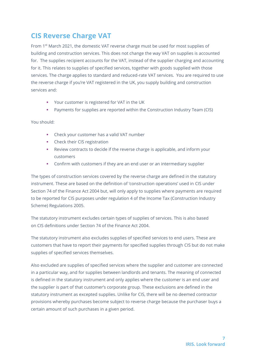# <span id="page-6-0"></span>**CIS Reverse Charge VAT**

From 1st March 2021, the domestic VAT reverse charge must be used for most supplies of building and construction services. This does not change the way VAT on supplies is accounted for. The supplies recipient accounts for the VAT, instead of the supplier charging and accounting for it. This relates to supplies of specified services, together with goods supplied with those services. The charge applies to standard and reduced-rate VAT services. You are required to use the reverse charge if you're VAT registered in the UK, you supply building and construction services and:

- Your customer is registered for VAT in the UK
- Payments for supplies are reported within the Construction Industry Team (CIS)

You should:

- Check your customer has a valid VAT number
- **•** Check their CIS registration
- Review contracts to decide if the reverse charge is applicable, and inform your customers
- Confirm with customers if they are an end user or an intermediary supplier

The types of construction services covered by the reverse charge are defined in the statutory instrument. These are based on the definition of 'construction operations' used in CIS under Section 74 of the Finance Act 2004 but, will only apply to supplies where payments are required to be reported for CIS purposes under regulation 4 of the Income Tax (Construction Industry Scheme) Regulations 2005.

The statutory instrument excludes certain types of supplies of services. This is also based on CIS definitions under Section 74 of the Finance Act 2004.

The statutory instrument also excludes supplies of specified services to end users. These are customers that have to report their payments for specified supplies through CIS but do not make supplies of specified services themselves.

Also excluded are supplies of specified services where the supplier and customer are connected in a particular way, and for supplies between landlords and tenants. The meaning of connected is defined in the statutory instrument and only applies where the customer is an end user and the supplier is part of that customer's corporate group. These exclusions are defined in the statutory instrument as excepted supplies. Unlike for CIS, there will be no deemed contractor provisions whereby purchases become subject to reverse charge because the purchaser buys a certain amount of such purchases in a given period.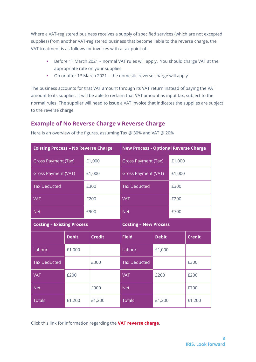Where a VAT-registered business receives a supply of specified services (which are not excepted supplies) from another VAT-registered business that become liable to the reverse charge, the VAT treatment is as follows for invoices with a tax point of:

- Before 1<sup>st</sup> March 2021 normal VAT rules will apply. You should charge VAT at the appropriate rate on your supplies
- On or after 1<sup>st</sup> March 2021 the domestic reverse charge will apply

The business accounts for that VAT amount through its VAT return instead of paying the VAT amount to its supplier. It will be able to reclaim that VAT amount as input tax, subject to the normal rules. The supplier will need to issue a VAT invoice that indicates the supplies are subject to the reverse charge.

#### <span id="page-7-0"></span>**Example of No Reverse Charge v Reverse Charge**

| <b>Existing Process - No Reverse Charge</b> |              | <b>New Process - Optional Reverse Charge</b> |                            |              |        |               |
|---------------------------------------------|--------------|----------------------------------------------|----------------------------|--------------|--------|---------------|
| <b>Gross Payment (Tax)</b>                  |              | £1,000                                       | <b>Gross Payment (Tax)</b> |              | £1,000 |               |
| <b>Gross Payment (VAT)</b>                  |              | £1,000                                       | <b>Gross Payment (VAT)</b> |              | £1,000 |               |
| <b>Tax Deducted</b>                         |              | £300                                         | <b>Tax Deducted</b>        |              | £300   |               |
| <b>VAT</b>                                  |              | £200                                         | <b>VAT</b>                 |              | £200   |               |
| <b>Net</b>                                  |              | £900                                         | <b>Net</b>                 |              | £700   |               |
| <b>Costing - Existing Process</b>           |              | <b>Costing - New Process</b>                 |                            |              |        |               |
|                                             | <b>Debit</b> | <b>Credit</b>                                | <b>Field</b>               | <b>Debit</b> |        | <b>Credit</b> |
| Labour                                      | £1,000       |                                              | Labour                     | £1,000       |        |               |
| <b>Tax Deducted</b>                         |              | £300                                         | <b>Tax Deducted</b>        |              |        | £300          |
| <b>VAT</b>                                  | £200         |                                              | <b>VAT</b>                 | £200         |        | £200          |
| <b>Net</b>                                  |              | £900                                         | <b>Net</b>                 |              |        | £700          |
| <b>Totals</b>                               | £1,200       | £1,200                                       | <b>Totals</b>              | £1,200       |        | £1,200        |

Here is an overview of the figures, assuming Tax @ 30% and VAT @ 20%

Click this link for information regarding the **[VAT reverse charge](https://www.gov.uk/guidance/vat-domestic-reverse-charge-for-building-and-construction-services)**.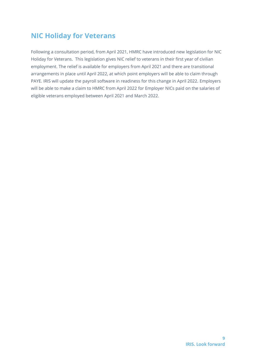# <span id="page-8-0"></span>**NIC Holiday for Veterans**

Following a consultation period, from April 2021, HMRC have introduced new legislation for NIC Holiday for Veterans. This legislation gives NIC relief to veterans in their first year of civilian employment. The relief is available for employers from April 2021 and there are transitional arrangements in place until April 2022, at which point employers will be able to claim through PAYE. IRIS will update the payroll software in readiness for this change in April 2022. Employers will be able to make a claim to HMRC from April 2022 for Employer NICs paid on the salaries of eligible veterans employed between April 2021 and March 2022.